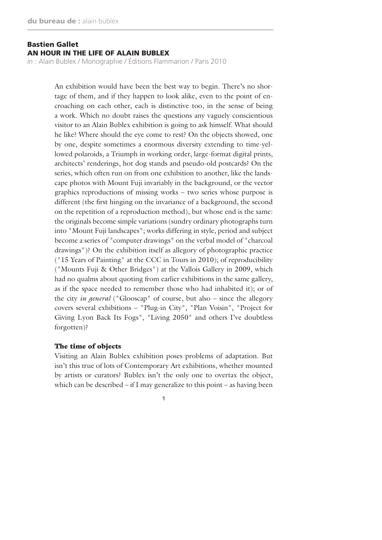*in :* Alain Bublex / Monographie / Éditions Flammarion / Paris 2010

An exhibition would have been the best way to begin. There's no shortage of them, and if they happen to look alike, even to the point of encroaching on each other, each is distinctive too, in the sense of being a work. Which no doubt raises the questions any vaguely conscientious visitor to an Alain Bublex exhibition is going to ask himself. What should he like? Where should the eye come to rest? On the objects showed, one by one, despite sometimes a enormous diversity extending to time-yellowed polaroids, a Triumph in working order, large-format digital prints, architects' renderings, hot dog stands and pseudo-old postcards? On the series, which often run on from one exhibition to another, like the landscape photos with Mount Fuji invariably in the background, or the vector graphics reproductions of missing works – two series whose purpose is different (the first hinging on the invariance of a background, the second on the repetition of a reproduction method), but whose end is the same: the originals become simple variations (sundry ordinary photographs turn into "Mount Fuji landscapes"; works differing in style, period and subject become a series of "computer drawings" on the verbal model of "charcoal drawings")? On the exhibition itself as allegory of photographic practice ("15 Years of Painting" at the CCC in Tours in 2010); of reproducibility ("Mounts Fuji & Other Bridges") at the Vallois Gallery in 2009, which had no qualms about quoting from earlier exhibitions in the same gallery, as if the space needed to remember those who had inhabited it); or of the city *in general* ("Glooscap" of course, but also – since the allegory covers several exhibitions – "Plug-in City", "Plan Voisin", "Project for Giving Lyon Back Its Fogs", "Living 2050" and others I've doubtless forgotten)?

#### The time of objects

Visiting an Alain Bublex exhibition poses problems of adaptation. But isn't this true of lots of Contemporary Art exhibitions, whether mounted by artists or curators? Bublex isn't the only one to overtax the object, which can be described – if I may generalize to this point – as having been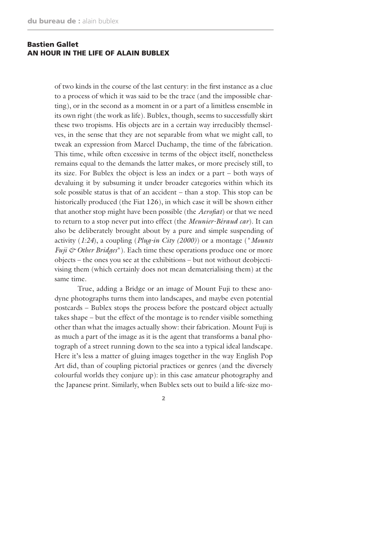of two kinds in the course of the last century: in the first instance as a clue to a process of which it was said to be the trace (and the impossible charting), or in the second as a moment in or a part of a limitless ensemble in its own right (the work as life). Bublex, though, seems to successfully skirt these two tropisms. His objects are in a certain way irreducibly themselves, in the sense that they are not separable from what we might call, to tweak an expression from Marcel Duchamp, the time of the fabrication. This time, while often excessive in terms of the object itself, nonetheless remains equal to the demands the latter makes, or more precisely still, to its size. For Bublex the object is less an index or a part – both ways of devaluing it by subsuming it under broader categories within which its sole possible status is that of an accident – than a stop. This stop can be historically produced (the Fiat 126), in which case it will be shown either that another stop might have been possible (the *Aerofiat*) or that we need to return to a stop never put into effect (the *Meunier-Béraud car*). It can also be deliberately brought about by a pure and simple suspending of activity (*1:24*), a coupling (*Plug-in City (2000)*) or a montage ("*Mounts Fuji & Other Bridges*"). Each time these operations produce one or more objects – the ones you see at the exhibitions – but not without deobjectivising them (which certainly does not mean dematerialising them) at the same time.

True, adding a Bridge or an image of Mount Fuji to these anodyne photographs turns them into landscapes, and maybe even potential postcards – Bublex stops the process before the postcard object actually takes shape – but the effect of the montage is to render visible something other than what the images actually show: their fabrication. Mount Fuji is as much a part of the image as it is the agent that transforms a banal photograph of a street running down to the sea into a typical ideal landscape. Here it's less a matter of gluing images together in the way English Pop Art did, than of coupling pictorial practices or genres (and the diversely colourful worlds they conjure up): in this case amateur photography and the Japanese print. Similarly, when Bublex sets out to build a life-size mo-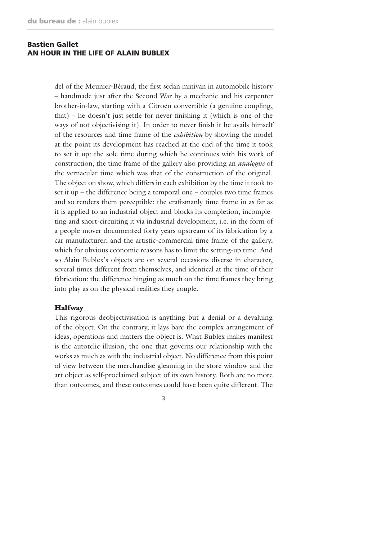del of the Meunier-Béraud, the first sedan minivan in automobile history – handmade just after the Second War by a mechanic and his carpenter brother-in-law, starting with a Citroën convertible (a genuine coupling, that) – he doesn't just settle for never finishing it (which is one of the ways of not objectivising it). In order to never finish it he avails himself of the resources and time frame of the *exhibition* by showing the model at the point its development has reached at the end of the time it took to set it up: the sole time during which he continues with his work of construction, the time frame of the gallery also providing an *analogue* of the vernacular time which was that of the construction of the original. The object on show, which differs in each exhibition by the time it took to set it up – the difference being a temporal one – couples two time frames and so renders them perceptible: the craftsmanly time frame in as far as it is applied to an industrial object and blocks its completion, incompleting and short-circuiting it via industrial development, i.e. in the form of a people mover documented forty years upstream of its fabrication by a car manufacturer; and the artistic-commercial time frame of the gallery, which for obvious economic reasons has to limit the setting-up time. And so Alain Bublex's objects are on several occasions diverse in character, several times different from themselves, and identical at the time of their fabrication: the difference hinging as much on the time frames they bring into play as on the physical realities they couple.

#### **Halfway**

This rigorous deobjectivisation is anything but a denial or a devaluing of the object. On the contrary, it lays bare the complex arrangement of ideas, operations and matters the object is. What Bublex makes manifest is the autotelic illusion, the one that governs our relationship with the works as much as with the industrial object. No difference from this point of view between the merchandise gleaming in the store window and the art object as self-proclaimed subject of its own history. Both are no more than outcomes, and these outcomes could have been quite different. The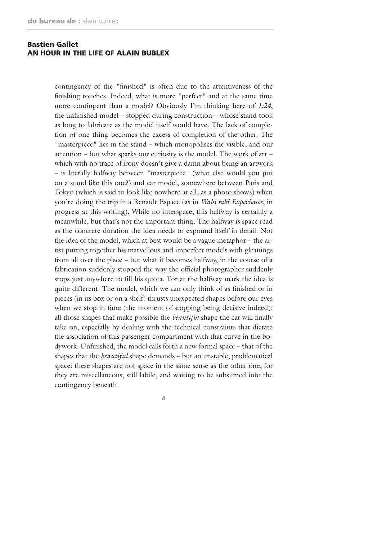contingency of the "finished" is often due to the attentiveness of the finishing touches. Indeed, what is more "perfect" and at the same time more contingent than a model? Obviously I'm thinking here of *1:24*, the unfinished model – stopped during construction – whose stand took as long to fabricate as the model itself would have. The lack of completion of one thing becomes the excess of completion of the other. The "masterpiece" lies in the stand – which monopolises the visible, and our attention – but what sparks our curiosity is the model. The work of art – which with no trace of irony doesn't give a damn about being an artwork – is literally halfway between "masterpiece" (what else would you put on a stand like this one?) and car model, somewhere between Paris and Tokyo (which is said to look like nowhere at all, as a photo shows) when you're doing the trip in a Renault Espace (as in *Wabi sabi Experience*, in progress at this writing). While no interspace, this halfway is certainly a meanwhile, but that's not the important thing. The halfway is space read as the concrete duration the idea needs to expound itself in detail. Not the idea of the model, which at best would be a vague metaphor – the artist putting together his marvellous and imperfect models with gleanings from all over the place – but what it becomes halfway, in the course of a fabrication suddenly stopped the way the official photographer suddenly stops just anywhere to fill his quota. For at the halfway mark the idea is quite different. The model, which we can only think of as finished or in pieces (in its box or on a shelf) thrusts unexpected shapes before our eyes when we stop in time (the moment of stopping being decisive indeed): all those shapes that make possible the *beautiful* shape the car will finally take on, especially by dealing with the technical constraints that dictate the association of this passenger compartment with that curve in the bodywork. Unfinished, the model calls forth a new formal space – that of the shapes that the *beautiful* shape demands – but an unstable, problematical space: these shapes are not space in the same sense as the other one, for they are miscellaneous, still labile, and waiting to be subsumed into the contingency beneath.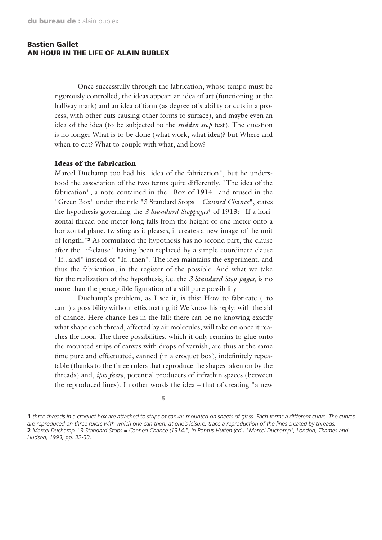Once successfully through the fabrication, whose tempo must be rigorously controlled, the ideas appear: an idea of art (functioning at the halfway mark) and an idea of form (as degree of stability or cuts in a process, with other cuts causing other forms to surface), and maybe even an idea of the idea (to be subjected to the *sudden stop* test). The question is no longer What is to be done (what work, what idea)? but Where and when to cut? What to couple with what, and how?

#### Ideas of the fabrication

Marcel Duchamp too had his "idea of the fabrication", but he understood the association of the two terms quite differently. "The idea of the fabrication", a note contained in the "Box of 1914" and reused in the "Green Box" under the title "3 Standard Stops = *Canned Chance*", states the hypothesis governing the *3 Standard Stoppages*1 of 1913: "If a horizontal thread one meter long falls from the height of one meter onto a horizontal plane, twisting as it pleases, it creates a new image of the unit of length."2 As formulated the hypothesis has no second part, the clause after the "if-clause" having been replaced by a simple coordinate clause "If...and" instead of "If...then". The idea maintains the experiment, and thus the fabrication, in the register of the possible. And what we take for the realization of the hypothesis, i.e. the *3 Standard Stop-pages*, is no more than the perceptible figuration of a still pure possibility.

Duchamp's problem, as I see it, is this: How to fabricate ("to can") a possibility without effectuating it? We know his reply: with the aid of chance. Here chance lies in the fall: there can be no knowing exactly what shape each thread, affected by air molecules, will take on once it reaches the floor. The three possibilities, which it only remains to glue onto the mounted strips of canvas with drops of varnish, are thus at the same time pure and effectuated, canned (in a croquet box), indefinitely repeatable (thanks to the three rulers that reproduce the shapes taken on by the threads) and, *ipso facto*, potential producers of infrathin spaces (between the reproduced lines). In other words the idea – that of creating "a new

<sup>5</sup>

<sup>1</sup> *three threads in a croquet box are attached to strips of canvas mounted on sheets of glass. Each forms a different curve. The curves are reproduced on three rulers with which one can then, at one's leisure, trace a reproduction of the lines created by threads.* 2 *Marcel Duchamp, "3 Standard Stops = Canned Chance (1914)", in Pontus Hulten (ed.) "Marcel Duchamp", London, Thames and Hudson, 1993, pp. 32-33.*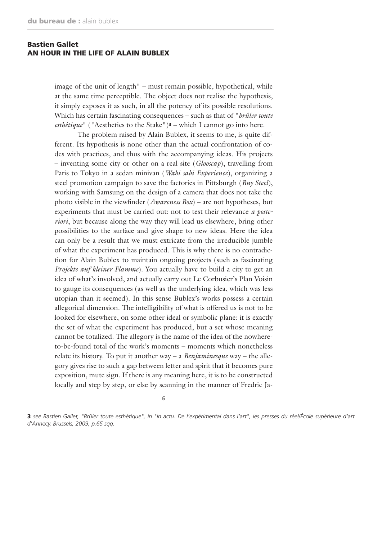image of the unit of length" – must remain possible, hypothetical, while at the same time perceptible. The object does not realise the hypothesis, it simply exposes it as such, in all the potency of its possible resolutions. Which has certain fascinating consequences – such as that of "*brûler toute esthétique*" ("Aesthetics to the Stake")<sup>3</sup> – which I cannot go into here.

The problem raised by Alain Bublex, it seems to me, is quite different. Its hypothesis is none other than the actual confrontation of codes with practices, and thus with the accompanying ideas. His projects – inventing some city or other on a real site (*Glooscap*), travelling from Paris to Tokyo in a sedan minivan (*Wabi sabi Experience*), organizing a steel promotion campaign to save the factories in Pittsburgh (*Buy Steel*), working with Samsung on the design of a camera that does not take the photo visible in the viewfinder (*Awareness Box*) – are not hypotheses, but experiments that must be carried out: not to test their relevance *a posteriori*, but because along the way they will lead us elsewhere, bring other possibilities to the surface and give shape to new ideas. Here the idea can only be a result that we must extricate from the irreducible jumble of what the experiment has produced. This is why there is no contradiction for Alain Bublex to maintain ongoing projects (such as fascinating *Projekte auf kleiner Flamme*). You actually have to build a city to get an idea of what's involved, and actually carry out Le Corbusier's Plan Voisin to gauge its consequences (as well as the underlying idea, which was less utopian than it seemed). In this sense Bublex's works possess a certain allegorical dimension. The intelligibility of what is offered us is not to be looked for elsewhere, on some other ideal or symbolic plane: it is exactly the set of what the experiment has produced, but a set whose meaning cannot be totalized. The allegory is the name of the idea of the nowhereto-be-found total of the work's moments – moments which nonetheless relate its history. To put it another way – a *Benjaminesque* way – the allegory gives rise to such a gap between letter and spirit that it becomes pure exposition, mute sign. If there is any meaning here, it is to be constructed locally and step by step, or else by scanning in the manner of Fredric Ja-

6

3 *see Bastien Gallet, "Brûler toute esthétique", in "In actu. De l'expérimental dans l'art", les presses du réel/École supérieure d'art d'Annecy, Brussels, 2009, p.65 sqq.*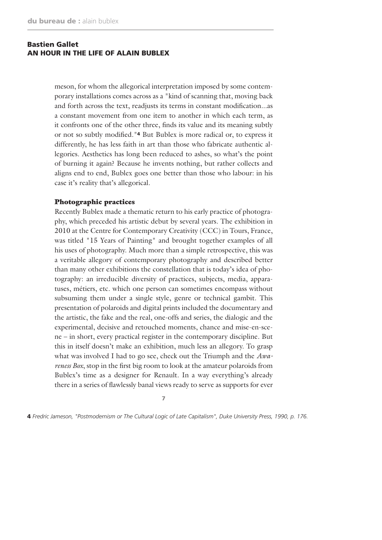meson, for whom the allegorical interpretation imposed by some contemporary installations comes across as a "kind of scanning that, moving back and forth across the text, readjusts its terms in constant modification...as a constant movement from one item to another in which each term, as it confronts one of the other three, finds its value and its meaning subtly or not so subtly modified."4 But Bublex is more radical or, to express it differently, he has less faith in art than those who fabricate authentic allegories. Aesthetics has long been reduced to ashes, so what's the point of burning it again? Because he invents nothing, but rather collects and aligns end to end, Bublex goes one better than those who labour: in his case it's reality that's allegorical.

#### Photographic practices

Recently Bublex made a thematic return to his early practice of photography, which preceded his artistic debut by several years. The exhibition in 2010 at the Centre for Contemporary Creativity (CCC) in Tours, France, was titled "15 Years of Painting" and brought together examples of all his uses of photography. Much more than a simple retrospective, this was a veritable allegory of contemporary photography and described better than many other exhibitions the constellation that is today's idea of photography: an irreducible diversity of practices, subjects, media, apparatuses, métiers, etc. which one person can sometimes encompass without subsuming them under a single style, genre or technical gambit. This presentation of polaroids and digital prints included the documentary and the artistic, the fake and the real, one-offs and series, the dialogic and the experimental, decisive and retouched moments, chance and mise-en-scene – in short, every practical register in the contemporary discipline. But this in itself doesn't make an exhibition, much less an allegory. To grasp what was involved I had to go see, check out the Triumph and the *Awareness Box*, stop in the first big room to look at the amateur polaroids from Bublex's time as a designer for Renault. In a way everything's already there in a series of flawlessly banal views ready to serve as supports for ever

7

4 *Fredric Jameson, "Postmodernism or The Cultural Logic of Late Capitalism", Duke University Press, 1990, p. 176.*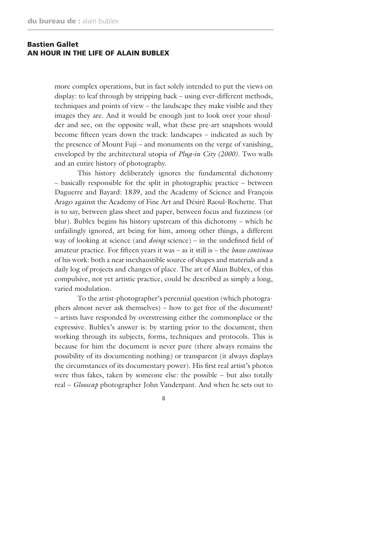more complex operations, but in fact solely intended to put the views on display: to leaf through by stripping back – using ever-different methods, techniques and points of view – the landscape they make visible and they images they are. And it would be enough just to look over your shoulder and see, on the opposite wall, what these pre-art snapshots would become fifteen years down the track: landscapes – indicated as such by the presence of Mount Fuji – and monuments on the verge of vanishing, enveloped by the architectural utopia of *Plug-in City (2000)*. Two walls and an entire history of photography.

This history deliberately ignores the fundamental dichotomy – basically responsible for the split in photographic practice – between Daguerre and Bayard: 1839, and the Academy of Science and François Arago against the Academy of Fine Art and Désiré Raoul-Rochette. That is to say, between glass sheet and paper, between focus and fuzziness (or blur). Bublex begins his history upstream of this dichotomy – which he unfailingly ignored, art being for him, among other things, a different way of looking at science (and *doing* science) – in the undefined field of amateur practice. For fifteen years it was – as it still is – the *basso continuo*  of his work: both a near inexhaustible source of shapes and materials and a daily log of projects and changes of place. The art of Alain Bublex, of this compulsive, not yet artistic practice, could be described as simply a long, varied modulation.

To the artist-photographer's perennial question (which photographers almost never ask themselves) – how to get free of the document? – artists have responded by overstressing either the commonplace or the expressive. Bublex's answer is: by starting prior to the document, then working through its subjects, forms, techniques and protocols. This is because for him the document is never pure (there always remains the possibility of its documenting nothing) or transparent (it always displays the circumstances of its documentary power). His first real artist's photos were thus fakes, taken by someone else: the possible – but also totally real – *Glooscap* photographer John Vanderpant. And when he sets out to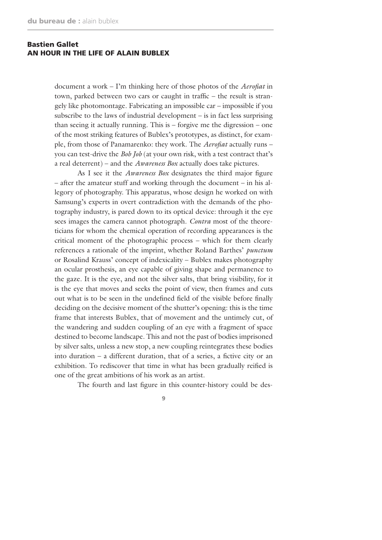document a work – I'm thinking here of those photos of the *Aerofiat* in town, parked between two cars or caught in traffic – the result is strangely like photomontage. Fabricating an impossible car – impossible if you subscribe to the laws of industrial development – is in fact less surprising than seeing it actually running. This is – forgive me the digression – one of the most striking features of Bublex's prototypes, as distinct, for example, from those of Panamarenko: they work. The *Aerofiat* actually runs – you can test-drive the *Bob Job* (at your own risk, with a test contract that's a real deterrent) – and the *Awareness Box* actually does take pictures.

As I see it the *Awareness Box* designates the third major figure – after the amateur stuff and working through the document – in his allegory of photography. This apparatus, whose design he worked on with Samsung's experts in overt contradiction with the demands of the photography industry, is pared down to its optical device: through it the eye sees images the camera cannot photograph. *Contra* most of the theoreticians for whom the chemical operation of recording appearances is the critical moment of the photographic process – which for them clearly references a rationale of the imprint, whether Roland Barthes' *punctum* or Rosalind Krauss' concept of indexicality – Bublex makes photography an ocular prosthesis, an eye capable of giving shape and permanence to the gaze. It is the eye, and not the silver salts, that bring visibility, for it is the eye that moves and seeks the point of view, then frames and cuts out what is to be seen in the undefined field of the visible before finally deciding on the decisive moment of the shutter's opening: this is the time frame that interests Bublex, that of movement and the untimely cut, of the wandering and sudden coupling of an eye with a fragment of space destined to become landscape. This and not the past of bodies imprisoned by silver salts, unless a new stop, a new coupling reintegrates these bodies into duration – a different duration, that of a series, a fictive city or an exhibition. To rediscover that time in what has been gradually reified is one of the great ambitions of his work as an artist.

The fourth and last figure in this counter-history could be des-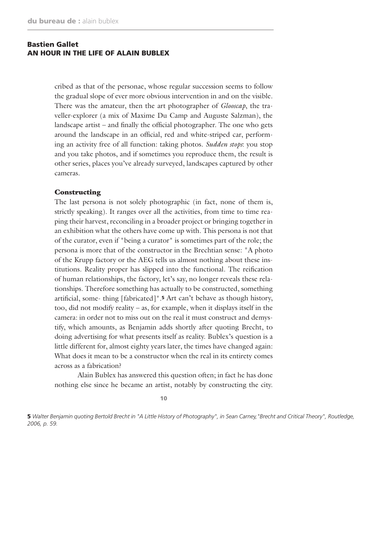cribed as that of the personae, whose regular succession seems to follow the gradual slope of ever more obvious intervention in and on the visible. There was the amateur, then the art photographer of *Glooscap*, the traveller-explorer (a mix of Maxime Du Camp and Auguste Salzman), the landscape artist – and finally the official photographer. The one who gets around the landscape in an official, red and white-striped car, performing an activity free of all function: taking photos. *Sudden stops*: you stop and you take photos, and if sometimes you reproduce them, the result is other series, places you've already surveyed, landscapes captured by other cameras.

#### Constructing

The last persona is not solely photographic (in fact, none of them is, strictly speaking). It ranges over all the activities, from time to time reaping their harvest, reconciling in a broader project or bringing together in an exhibition what the others have come up with. This persona is not that of the curator, even if "being a curator" is sometimes part of the role; the persona is more that of the constructor in the Brechtian sense: "A photo of the Krupp factory or the AEG tells us almost nothing about these institutions. Reality proper has slipped into the functional. The reification of human relationships, the factory, let's say, no longer reveals these relationships. Therefore something has actually to be constructed, something artificial, some- thing [fabricated]".5 Art can't behave as though history, too, did not modify reality – as, for example, when it displays itself in the camera: in order not to miss out on the real it must construct and demystify, which amounts, as Benjamin adds shortly after quoting Brecht, to doing advertising for what presents itself as reality. Bublex's question is a little different for, almost eighty years later, the times have changed again: What does it mean to be a constructor when the real in its entirety comes across as a fabrication?

Alain Bublex has answered this question often; in fact he has done nothing else since he became an artist, notably by constructing the city.

10

5 *Walter Benjamin quoting Bertold Brecht in "A Little History of Photography", in Sean Carney,"Brecht and Critical Theory", Routledge, 2006, p. 59.*